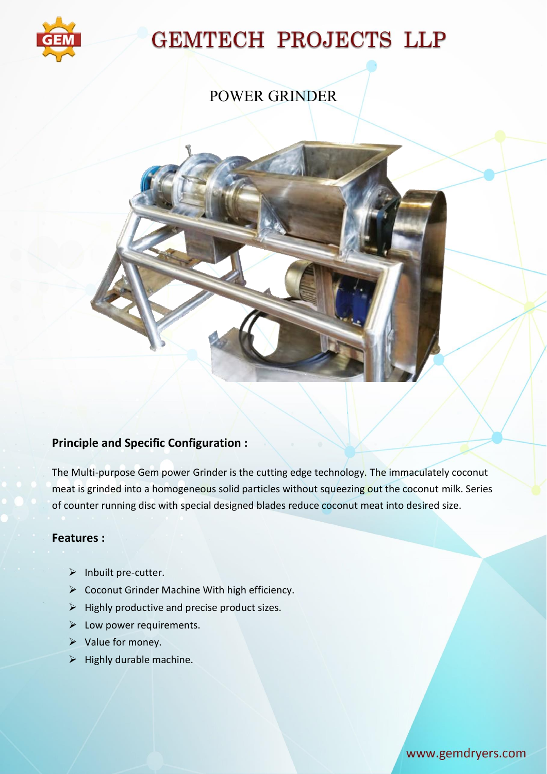

# **GEMTECH PROJECTS LLP**

### POWER GRINDER



### **Principle and Specific Configuration :**

The Multi-purpose Gem power Grinder is the cutting edge technology. The immaculately coconut meat is grinded into a homogeneous solid particles without squeezing out the coconut milk. Series of counter running disc with special designed blades reduce coconut meat into desired size.

#### **Features :**

- $\triangleright$  Inbuilt pre-cutter.
- ▶ Coconut Grinder Machine With high efficiency.
- $\triangleright$  Highly productive and precise product sizes.
- $\triangleright$  Low power requirements.
- $\triangleright$  Value for money.
- $\triangleright$  Highly durable machine.